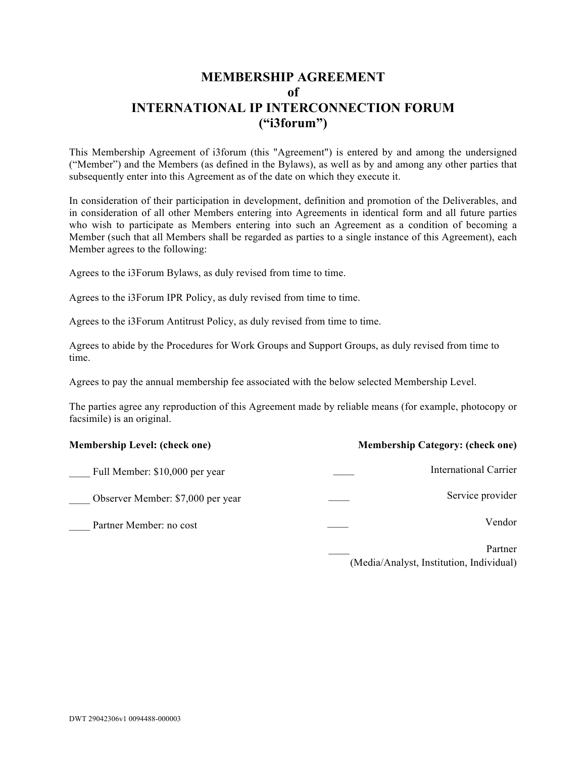## **MEMBERSHIP AGREEMENT of INTERNATIONAL IP INTERCONNECTION FORUM ("i3forum")**

This Membership Agreement of i3forum (this "Agreement") is entered by and among the undersigned ("Member") and the Members (as defined in the Bylaws), as well as by and among any other parties that subsequently enter into this Agreement as of the date on which they execute it.

In consideration of their participation in development, definition and promotion of the Deliverables, and in consideration of all other Members entering into Agreements in identical form and all future parties who wish to participate as Members entering into such an Agreement as a condition of becoming a Member (such that all Members shall be regarded as parties to a single instance of this Agreement), each Member agrees to the following:

Agrees to the i3Forum Bylaws, as duly revised from time to time.

Agrees to the i3Forum IPR Policy, as duly revised from time to time.

Agrees to the i3Forum Antitrust Policy, as duly revised from time to time.

Agrees to abide by the Procedures for Work Groups and Support Groups, as duly revised from time to time.

Agrees to pay the annual membership fee associated with the below selected Membership Level.

The parties agree any reproduction of this Agreement made by reliable means (for example, photocopy or facsimile) is an original.

| <b>Membership Level: (check one)</b> | <b>Membership Category: (check one)</b>             |
|--------------------------------------|-----------------------------------------------------|
| Full Member: \$10,000 per year       | <b>International Carrier</b>                        |
| Observer Member: \$7,000 per year    | Service provider                                    |
| Partner Member: no cost              | Vendor                                              |
|                                      | Partner<br>(Media/Analyst, Institution, Individual) |